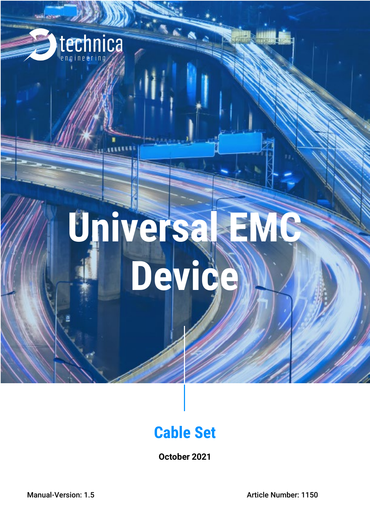

# Universal EMC **Device**

## **Cable Set**

**October 2021**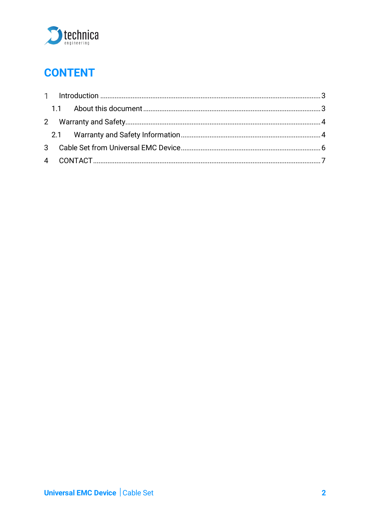

## **CONTENT**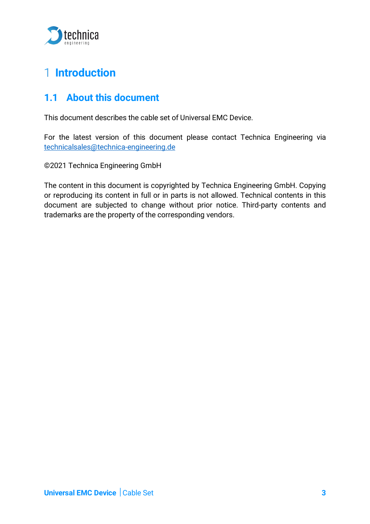

## <span id="page-2-0"></span>**Introduction**

#### <span id="page-2-1"></span>**1.1 About this document**

This document describes the cable set of Universal EMC Device.

For the latest version of this document please contact Technica Engineering via technicalsales@technica-engineering.de

©2021 Technica Engineering GmbH

The content in this document is copyrighted by Technica Engineering GmbH. Copying or reproducing its content in full or in parts is not allowed. Technical contents in this document are subjected to change without prior notice. Third-party contents and trademarks are the property of the corresponding vendors.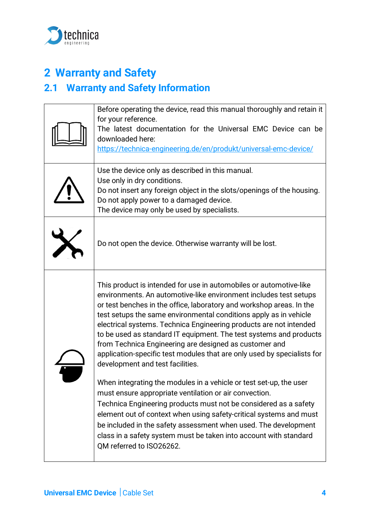

## <span id="page-3-0"></span>**2 Warranty and Safety**

### <span id="page-3-1"></span>**2.1 Warranty and Safety Information**

| Before operating the device, read this manual thoroughly and retain it<br>for your reference.<br>The latest documentation for the Universal EMC Device can be<br>downloaded here:<br>https://technica-engineering.de/en/produkt/universal-emc-device/                                                                                                                                                                                                                                                                                                                                                                                                                           |
|---------------------------------------------------------------------------------------------------------------------------------------------------------------------------------------------------------------------------------------------------------------------------------------------------------------------------------------------------------------------------------------------------------------------------------------------------------------------------------------------------------------------------------------------------------------------------------------------------------------------------------------------------------------------------------|
| Use the device only as described in this manual.<br>Use only in dry conditions.<br>Do not insert any foreign object in the slots/openings of the housing.<br>Do not apply power to a damaged device.<br>The device may only be used by specialists.                                                                                                                                                                                                                                                                                                                                                                                                                             |
| Do not open the device. Otherwise warranty will be lost.                                                                                                                                                                                                                                                                                                                                                                                                                                                                                                                                                                                                                        |
| This product is intended for use in automobiles or automotive-like<br>environments. An automotive-like environment includes test setups<br>or test benches in the office, laboratory and workshop areas. In the<br>test setups the same environmental conditions apply as in vehicle<br>electrical systems. Technica Engineering products are not intended<br>to be used as standard IT equipment. The test systems and products<br>from Technica Engineering are designed as customer and<br>application-specific test modules that are only used by specialists for<br>development and test facilities.<br>When integrating the modules in a vehicle or test set-up, the user |
| must ensure appropriate ventilation or air convection.<br>Technica Engineering products must not be considered as a safety<br>element out of context when using safety-critical systems and must<br>be included in the safety assessment when used. The development<br>class in a safety system must be taken into account with standard<br>QM referred to ISO26262.                                                                                                                                                                                                                                                                                                            |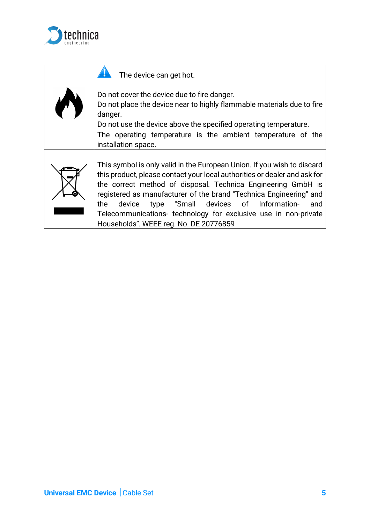

| The device can get hot.                                                                                                                                                                                                                                                                                                                                                                                                                                                   |
|---------------------------------------------------------------------------------------------------------------------------------------------------------------------------------------------------------------------------------------------------------------------------------------------------------------------------------------------------------------------------------------------------------------------------------------------------------------------------|
| Do not cover the device due to fire danger.<br>Do not place the device near to highly flammable materials due to fire<br>danger.<br>Do not use the device above the specified operating temperature.<br>The operating temperature is the ambient temperature of the<br>installation space.                                                                                                                                                                                |
| This symbol is only valid in the European Union. If you wish to discard<br>this product, please contact your local authorities or dealer and ask for<br>the correct method of disposal. Technica Engineering GmbH is<br>registered as manufacturer of the brand "Technica Engineering" and<br>"Small devices of Information-<br>the<br>device<br>and<br>type<br>Telecommunications- technology for exclusive use in non-private<br>Households". WEEE reg. No. DE 20776859 |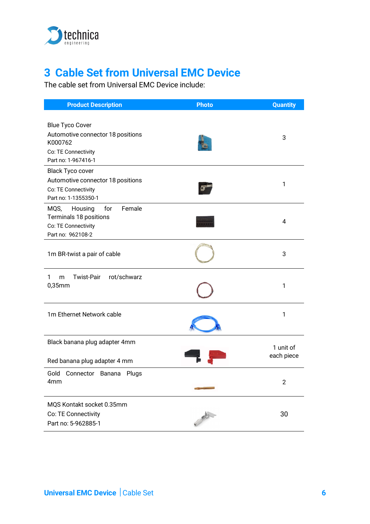

## <span id="page-5-0"></span>**3 Cable Set from Universal EMC Device**

The cable set from Universal EMC Device include:

| <b>Product Description</b>                                                                                           | <b>Photo</b> | <b>Quantity</b>         |
|----------------------------------------------------------------------------------------------------------------------|--------------|-------------------------|
| <b>Blue Tyco Cover</b><br>Automotive connector 18 positions<br>K000762<br>Co: TE Connectivity<br>Part no: 1-967416-1 |              | 3                       |
| <b>Black Tyco cover</b><br>Automotive connector 18 positions<br>Co: TE Connectivity<br>Part no: 1-1355350-1          |              | 1                       |
| Female<br>Housing<br>for<br>MQS,<br>Terminals 18 positions<br>Co: TE Connectivity<br>Part no: 962108-2               |              | 4                       |
| 1m BR-twist a pair of cable                                                                                          |              | 3                       |
| rot/schwarz<br><b>Twist-Pair</b><br>1<br>m<br>$0,35$ mm                                                              |              | 1                       |
| 1m Ethernet Network cable                                                                                            |              | 1                       |
| Black banana plug adapter 4mm<br>Red banana plug adapter 4 mm                                                        |              | 1 unit of<br>each piece |
| Gold<br>Connector Banana<br>Plugs<br>4mm                                                                             |              | $\overline{2}$          |
| MQS Kontakt socket 0.35mm<br>Co: TE Connectivity<br>Part no: 5-962885-1                                              |              | 30                      |